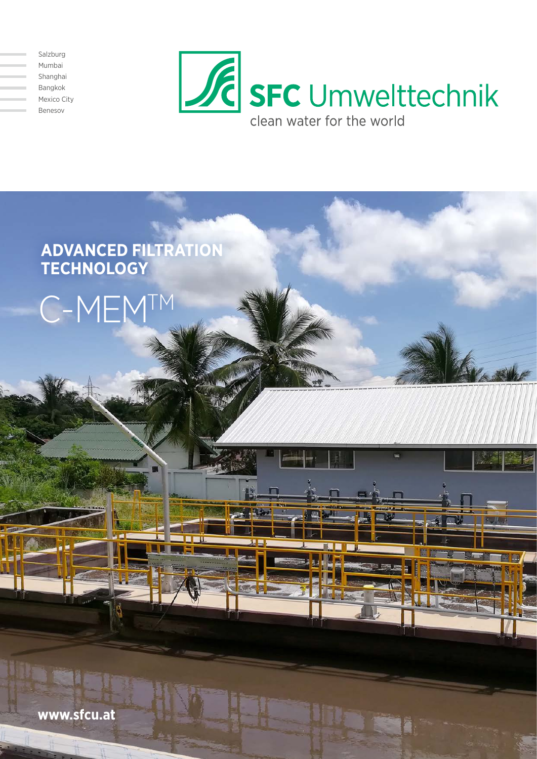Salzburg Mumbai Shanghai Bangkok Mexico City Benesov





**www.sfcu.at**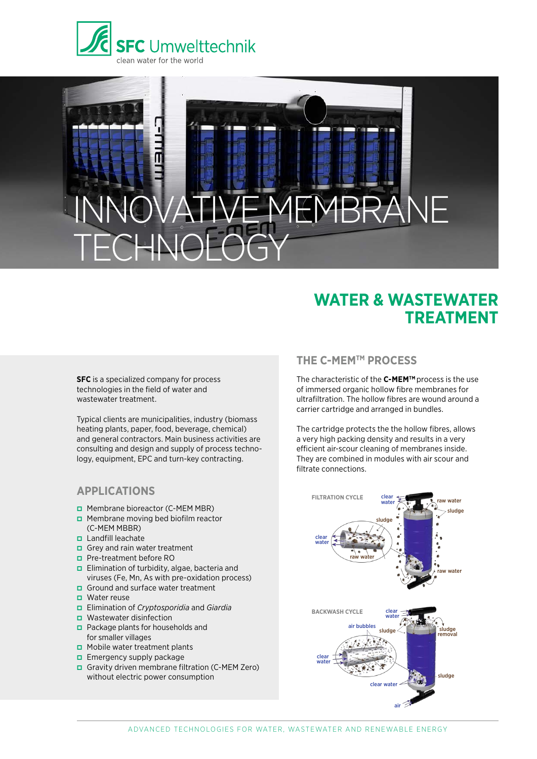

# INNOVATIVE MEMBRANE TECHNOLOGY

# **WATER & WASTEWATER TREATMENT**

**SFC** is a specialized company for process technologies in the field of water and wastewater treatment.

Typical clients are municipalities, industry (biomass heating plants, paper, food, beverage, chemical) and general contractors. Main business activities are consulting and design and supply of process technology, equipment, EPC and turn-key contracting.

#### **APPLICATIONS**

- **p** Membrane bioreactor (C-MEM MBR)
- **p** Membrane moving bed biofilm reactor (C-MEM MBBR)
- **p** Landfill leachate
- **p** Grey and rain water treatment
- **p** Pre-treatment before RO
- **p** Elimination of turbidity, algae, bacteria and viruses (Fe, Mn, As with pre-oxidation process)
- $\Box$  Ground and surface water treatment
- $\blacksquare$  Water reuse
- pp Elimination of *Cryptosporidia* and *Giardia*
- **p** Wastewater disinfection
- $\Box$  Package plants for households and for smaller villages
- $\Box$  Mobile water treatment plants
- $\Box$  Emergency supply package
- pp Gravity driven membrane filtration (C-MEM Zero) without electric power consumption

#### **THE C-MEMTM PROCESS**

The characteristic of the **C-MEMTM** process is the use of immersed organic hollow fibre membranes for ultrafiltration. The hollow fibres are wound around a carrier cartridge and arranged in bundles.

The cartridge protects the the hollow fibres, allows a very high packing density and results in a very efficient air-scour cleaning of membranes inside. They are combined in modules with air scour and filtrate connections.

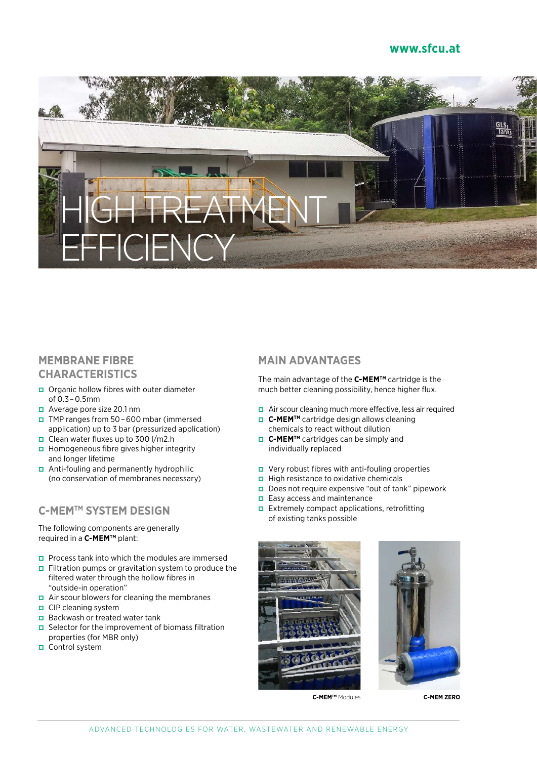#### **www.sfcu.at**



## **MEMBRANE FIBRE CHARACTERISTICS**

- pp Organic hollow fibres with outer diameter of 0.3 – 0.5mm
- **p** Average pore size 20.1 nm
- pp TMP ranges from 50 – 600 mbar (immersed application) up to 3 bar (pressurized application)
- **D** Clean water fluxes up to 300 l/m2.h **p** Homogeneous fibre gives higher integrity and longer lifetime
- pp Anti-fouling and permanently hydrophilic (no conservation of membranes necessary)

#### **C-MEMTM SYSTEM DESIGN**

The following components are generally required in a **C-MEMTM** plant:

- **P** Process tank into which the modules are immersed
- **p** Filtration pumps or gravitation system to produce the filtered water through the hollow fibres in "outside-in operation"
- $\Box$  Air scour blowers for cleaning the membranes
- $\Box$  CIP cleaning system
- $\Box$  Backwash or treated water tank
- **p** Selector for the improvement of biomass filtration properties (for MBR only)
- $\Box$  Control system

#### **MAIN ADVANTAGES**

The main advantage of the **C-MEMTM** cartridge is the much better cleaning possibility, hence higher flux.

- pp Air scour cleaning much more effective, less air required
- **□ C-MEM<sup>™</sup>** cartridge design allows cleaning chemicals to react without dilution
- **□ C-MEM<sup>TM</sup>** cartridges can be simply and individually replaced
- **p** Very robust fibres with anti-fouling properties
- $\Box$  High resistance to oxidative chemicals
- $\Box$  Does not require expensive "out of tank" pipework
- $\Box$  Easy access and maintenance
- $\Box$  Extremely compact applications, retrofitting of existing tanks possible





**C-MEMTM** Modules **C-MEM ZERO**